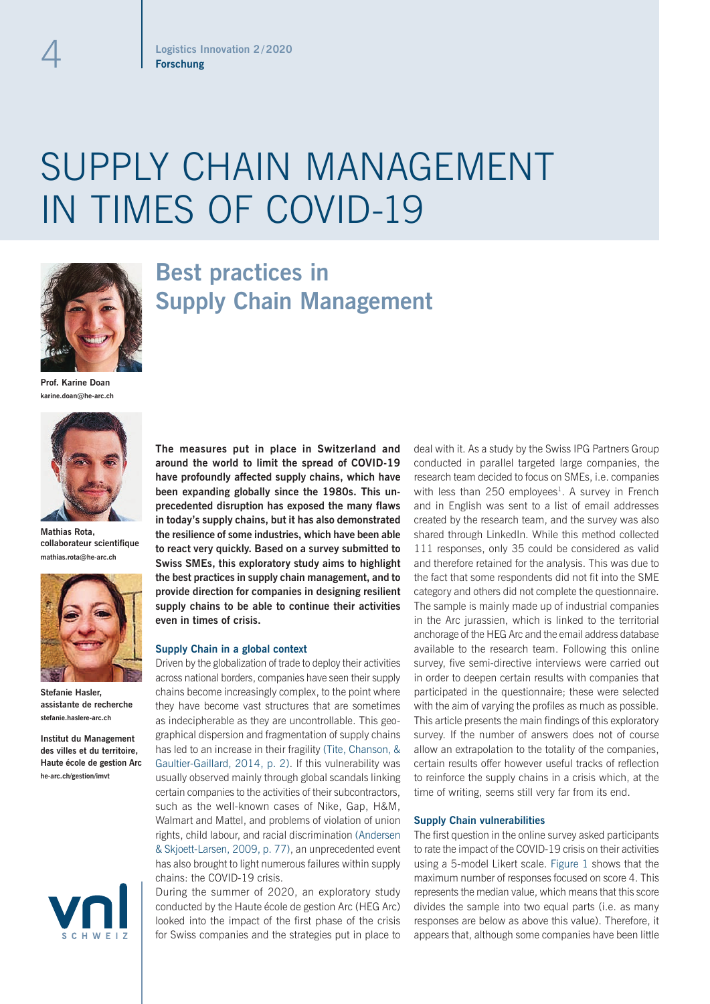# SUPPLY CHAIN MANAGEMENT IN TIMES OF COVID-19



# **Best practices in Supply Chain Management**

**Prof. Karine Doan karine.doan@he-arc.ch**



**Mathias Rota, collaborateur scientifique mathias.rota@he-arc.ch**



**Stefanie Hasler, assistante de recherche stefanie.haslere-arc.ch**

**Institut du Management des villes et du territoire, Haute école de gestion Arc he-arc.ch/gestion/imvt**



**The measures put in place in Switzerland and around the world to limit the spread of COVID-19 have profoundly affected supply chains, which have been expanding globally since the 1980s. This unprecedented disruption has exposed the many flaws in today's supply chains, but it has also demonstrated the resilience of some industries, which have been able to react very quickly. Based on a survey submitted to Swiss SMEs, this exploratory study aims to highlight the best practices in supply chain management, and to provide direction for companies in designing resilient supply chains to be able to continue their activities even in times of crisis.**

### **Supply Chain in a global context**

Driven by the globalization of trade to deploy their activities across national borders, companies have seen their supply chains become increasingly complex, to the point where they have become vast structures that are sometimes as indecipherable as they are uncontrollable. This geographical dispersion and fragmentation of supply chains has led to an increase in their fragility (Tite, Chanson, & Gaultier-Gaillard, 2014, p. 2). If this vulnerability was usually observed mainly through global scandals linking certain companies to the activities of their subcontractors, such as the well-known cases of Nike, Gap, H&M, Walmart and Mattel, and problems of violation of union rights, child labour, and racial discrimination (Andersen & Skjoett-Larsen, 2009, p. 77), an unprecedented event has also brought to light numerous failures within supply chains: the COVID-19 crisis.

During the summer of 2020, an exploratory study conducted by the Haute école de gestion Arc (HEG Arc) looked into the impact of the first phase of the crisis for Swiss companies and the strategies put in place to deal with it. As a study by the Swiss IPG Partners Group conducted in parallel targeted large companies, the research team decided to focus on SMEs, i.e. companies with less than  $250$  employees<sup>1</sup>. A survey in French and in English was sent to a list of email addresses created by the research team, and the survey was also shared through LinkedIn. While this method collected 111 responses, only 35 could be considered as valid and therefore retained for the analysis. This was due to the fact that some respondents did not fit into the SME category and others did not complete the questionnaire. The sample is mainly made up of industrial companies in the Arc jurassien, which is linked to the territorial anchorage of the HEG Arc and the email address database available to the research team. Following this online survey, five semi-directive interviews were carried out in order to deepen certain results with companies that participated in the questionnaire; these were selected with the aim of varying the profiles as much as possible. This article presents the main findings of this exploratory survey. If the number of answers does not of course allow an extrapolation to the totality of the companies, certain results offer however useful tracks of reflection to reinforce the supply chains in a crisis which, at the time of writing, seems still very far from its end.

#### **Supply Chain vulnerabilities**

The first question in the online survey asked participants to rate the impact of the COVID-19 crisis on their activities using a 5-model Likert scale. Figure 1 shows that the maximum number of responses focused on score 4. This represents the median value, which means that this score divides the sample into two equal parts (i.e. as many responses are below as above this value). Therefore, it appears that, although some companies have been little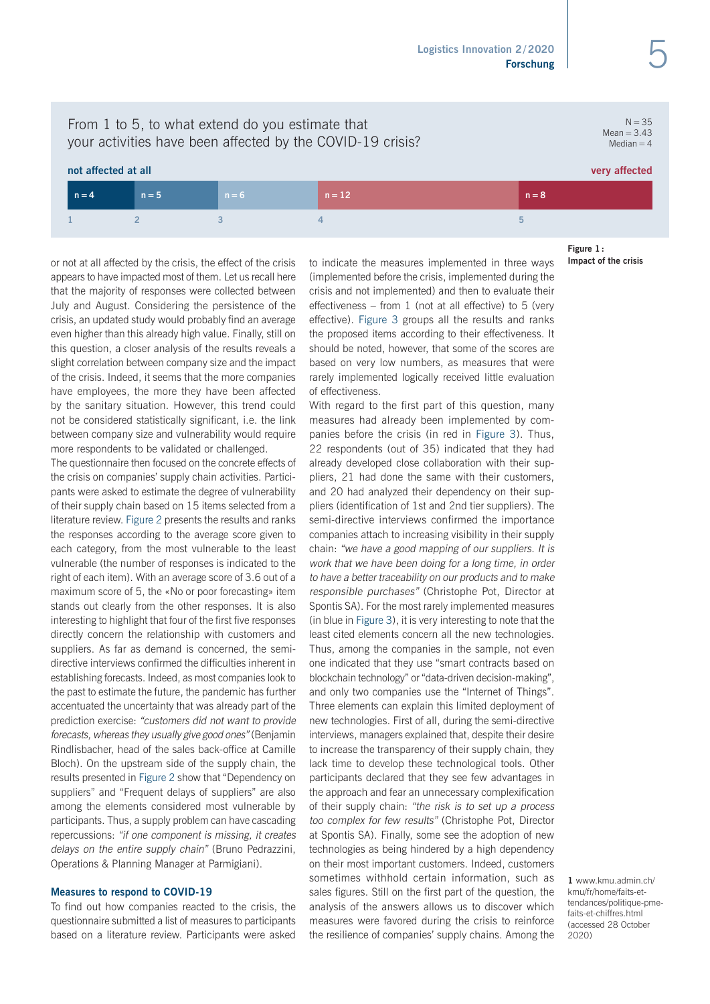$N = 35$  $Mean = 3.43$  $Median = 4$ 

# From 1 to 5, to what extend do you estimate that your activities have been affected by the COVID-19 crisis?

# **not affected at all very affected**

| $n = 4$ | $n = 5$ | $n = 6$ | $n = 12$ | $n = 8$ |
|---------|---------|---------|----------|---------|
|         |         |         |          |         |

or not at all affected by the crisis, the effect of the crisis appears to have impacted most of them. Let us recall here that the majority of responses were collected between July and August. Considering the persistence of the crisis, an updated study would probably find an average even higher than this already high value. Finally, still on this question, a closer analysis of the results reveals a slight correlation between company size and the impact of the crisis. Indeed, it seems that the more companies have employees, the more they have been affected by the sanitary situation. However, this trend could not be considered statistically significant, i.e. the link between company size and vulnerability would require more respondents to be validated or challenged.

The questionnaire then focused on the concrete effects of the crisis on companies' supply chain activities. Participants were asked to estimate the degree of vulnerability of their supply chain based on 15 items selected from a literature review. Figure 2 presents the results and ranks the responses according to the average score given to each category, from the most vulnerable to the least vulnerable (the number of responses is indicated to the right of each item). With an average score of 3.6 out of a maximum score of 5, the «No or poor forecasting» item stands out clearly from the other responses. It is also interesting to highlight that four of the first five responses directly concern the relationship with customers and suppliers. As far as demand is concerned, the semidirective interviews confirmed the difficulties inherent in establishing forecasts. Indeed, as most companies look to the past to estimate the future, the pandemic has further accentuated the uncertainty that was already part of the prediction exercise: "customers did not want to provide forecasts, whereas they usually give good ones" (Benjamin Rindlisbacher, head of the sales back-office at Camille Bloch). On the upstream side of the supply chain, the results presented in Figure 2 show that "Dependency on suppliers" and "Frequent delays of suppliers" are also among the elements considered most vulnerable by participants. Thus, a supply problem can have cascading repercussions: "if one component is missing, it creates delays on the entire supply chain" (Bruno Pedrazzini, Operations & Planning Manager at Parmigiani).

## **Measures to respond to COVID-19**

To find out how companies reacted to the crisis, the questionnaire submitted a list of measures to participants based on a literature review. Participants were asked to indicate the measures implemented in three ways (implemented before the crisis, implemented during the crisis and not implemented) and then to evaluate their effectiveness – from 1 (not at all effective) to 5 (very effective). Figure 3 groups all the results and ranks the proposed items according to their effectiveness. It should be noted, however, that some of the scores are based on very low numbers, as measures that were rarely implemented logically received little evaluation of effectiveness.

With regard to the first part of this question, many measures had already been implemented by companies before the crisis (in red in Figure 3). Thus, 22 respondents (out of 35) indicated that they had already developed close collaboration with their suppliers, 21 had done the same with their customers, and 20 had analyzed their dependency on their suppliers (identification of 1st and 2nd tier suppliers). The semi-directive interviews confirmed the importance companies attach to increasing visibility in their supply chain: "we have a good mapping of our suppliers. It is work that we have been doing for a long time, in order to have a better traceability on our products and to make responsible purchases" (Christophe Pot, Director at Spontis SA). For the most rarely implemented measures (in blue in Figure 3), it is very interesting to note that the least cited elements concern all the new technologies. Thus, among the companies in the sample, not even one indicated that they use "smart contracts based on blockchain technology" or "data-driven decision-making", and only two companies use the "Internet of Things". Three elements can explain this limited deployment of new technologies. First of all, during the semi-directive interviews, managers explained that, despite their desire to increase the transparency of their supply chain, they lack time to develop these technological tools. Other participants declared that they see few advantages in the approach and fear an unnecessary complexification of their supply chain: "the risk is to set up a process too complex for few results" (Christophe Pot, Director at Spontis SA). Finally, some see the adoption of new technologies as being hindered by a high dependency on their most important customers. Indeed, customers sometimes withhold certain information, such as sales figures. Still on the first part of the question, the analysis of the answers allows us to discover which measures were favored during the crisis to reinforce the resilience of companies' supply chains. Among the **Figure 1: Impact of the crisis**

**1** www.kmu.admin.ch/ kmu/fr/home/faits-ettendances/politique-pmefaits-et-chiffres.html (accessed 28 October 2020)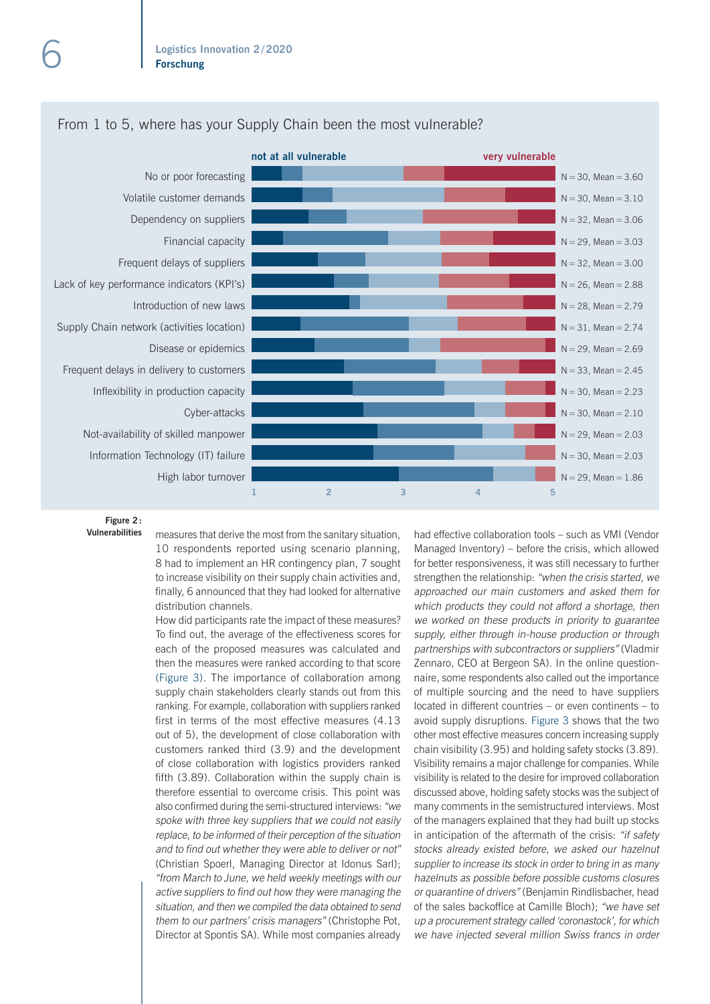

# From 1 to 5, where has your Supply Chain been the most vulnerable?

**Figure 2: Vulnerabilities**

measures that derive the most from the sanitary situation, 10 respondents reported using scenario planning, 8 had to implement an HR contingency plan, 7 sought to increase visibility on their supply chain activities and, finally, 6 announced that they had looked for alternative distribution channels.

How did participants rate the impact of these measures? To find out, the average of the effectiveness scores for each of the proposed measures was calculated and then the measures were ranked according to that score (Figure 3). The importance of collaboration among supply chain stakeholders clearly stands out from this ranking. For example, collaboration with suppliers ranked first in terms of the most effective measures (4.13 out of 5), the development of close collaboration with customers ranked third (3.9) and the development of close collaboration with logistics providers ranked fifth (3.89). Collaboration within the supply chain is therefore essential to overcome crisis. This point was also confirmed during the semi-structured interviews: "we spoke with three key suppliers that we could not easily replace, to be informed of their perception of the situation and to find out whether they were able to deliver or not" (Christian Spoerl, Managing Director at Idonus Sarl); "from March to June, we held weekly meetings with our active suppliers to find out how they were managing the situation, and then we compiled the data obtained to send them to our partners' crisis managers" (Christophe Pot, Director at Spontis SA). While most companies already had effective collaboration tools – such as VMI (Vendor Managed Inventory) – before the crisis, which allowed for better responsiveness, it was still necessary to further strengthen the relationship: "when the crisis started, we approached our main customers and asked them for which products they could not afford a shortage, then we worked on these products in priority to guarantee supply, either through in-house production or through partnerships with subcontractors or suppliers" (Vladmir Zennaro, CEO at Bergeon SA). In the online questionnaire, some respondents also called out the importance of multiple sourcing and the need to have suppliers located in different countries – or even continents – to avoid supply disruptions. Figure 3 shows that the two other most effective measures concern increasing supply chain visibility (3.95) and holding safety stocks (3.89). Visibility remains a major challenge for companies. While visibility is related to the desire for improved collaboration discussed above, holding safety stocks was the subject of many comments in the semistructured interviews. Most of the managers explained that they had built up stocks in anticipation of the aftermath of the crisis: "if safety stocks already existed before, we asked our hazelnut supplier to increase its stock in order to bring in as many hazelnuts as possible before possible customs closures or quarantine of drivers" (Benjamin Rindlisbacher, head of the sales backoffice at Camille Bloch); "we have set up a procurement strategy called 'coronastock', for which we have injected several million Swiss francs in order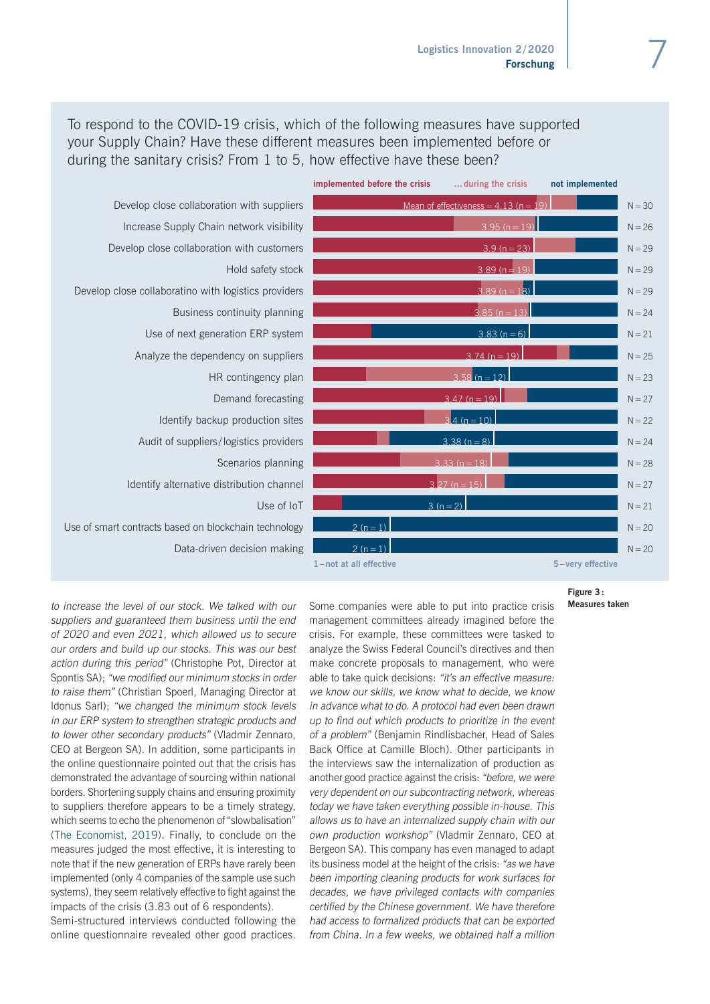To respond to the COVID-19 crisis, which of the following measures have supported your Supply Chain? Have these different measures been implemented before or during the sanitary crisis? From 1 to 5, how effective have these been?

Develop close collaboration with suppliers Increase Supply Chain network visibility Develop close collaboration with customers Hold safety stock Develop close collaboratino with logistics providers Business continuity planning Use of next generation ERP system Analyze the dependency on suppliers HR contingency plan Demand forecasting Identify backup production sites Audit of suppliers /logistics providers Scenarios planning Identify alternative distribution channel Use of IoT Use of smart contracts based on blockchain technology Data-driven decision making

| implemented before the crisis  during the crisis |                                         | not implemented  |          |
|--------------------------------------------------|-----------------------------------------|------------------|----------|
|                                                  | Mean of effectiveness = $4.13$ (n = 19) |                  | $N = 30$ |
|                                                  | $3.95(n=19)$                            |                  | $N = 26$ |
|                                                  | $\overline{3.9}$ (n = 23)               |                  | $N = 29$ |
|                                                  | $3.89(n=19)$                            |                  | $N = 29$ |
|                                                  | $3.89(n=18)$                            |                  | $N = 29$ |
|                                                  | $3.85(n=13)$                            |                  | $N = 24$ |
|                                                  | $3.83(n=6)$                             |                  | $N = 21$ |
|                                                  | $3.74(n=19)$                            |                  | $N = 25$ |
|                                                  | $3.58(n=12)$                            |                  | $N = 23$ |
|                                                  | $\overline{3.47}$ (n = 19)              |                  | $N = 27$ |
|                                                  | $3.4(n=10)$                             |                  | $N = 22$ |
|                                                  | $3.38(n=8)$                             |                  | $N = 24$ |
|                                                  | $3.33(n = 18)$                          |                  | $N = 28$ |
|                                                  | $3.27(n = 15)$                          |                  | $N = 27$ |
|                                                  | $3(n=2)$                                |                  | $N = 21$ |
| $2(n=1)$                                         |                                         |                  | $N = 20$ |
| $2(n=1)$                                         |                                         |                  | $N = 20$ |
| 1-not at all effective                           |                                         | 5-very effective |          |

**Figure 3: Measures taken**

to increase the level of our stock. We talked with our suppliers and guaranteed them business until the end of 2020 and even 2021, which allowed us to secure our orders and build up our stocks. This was our best action during this period" (Christophe Pot, Director at Spontis SA); "we modified our minimum stocks in order to raise them" (Christian Spoerl, Managing Director at Idonus Sarl); "we changed the minimum stock levels in our ERP system to strengthen strategic products and to lower other secondary products" (Vladmir Zennaro, CEO at Bergeon SA). In addition, some participants in the online questionnaire pointed out that the crisis has demonstrated the advantage of sourcing within national borders. Shortening supply chains and ensuring proximity to suppliers therefore appears to be a timely strategy, which seems to echo the phenomenon of "slowbalisation" (The Economist, 2019). Finally, to conclude on the measures judged the most effective, it is interesting to note that if the new generation of ERPs have rarely been implemented (only 4 companies of the sample use such systems), they seem relatively effective to fight against the impacts of the crisis (3.83 out of 6 respondents). Semi-structured interviews conducted following the online questionnaire revealed other good practices.

Some companies were able to put into practice crisis management committees already imagined before the crisis. For example, these committees were tasked to analyze the Swiss Federal Council's directives and then make concrete proposals to management, who were able to take quick decisions: "it's an effective measure: we know our skills, we know what to decide, we know in advance what to do. A protocol had even been drawn up to find out which products to prioritize in the event of a problem" (Benjamin Rindlisbacher, Head of Sales Back Office at Camille Bloch). Other participants in the interviews saw the internalization of production as another good practice against the crisis: "before, we were very dependent on our subcontracting network, whereas today we have taken everything possible in-house. This allows us to have an internalized supply chain with our own production workshop" (Vladmir Zennaro, CEO at Bergeon SA). This company has even managed to adapt its business model at the height of the crisis: "as we have been importing cleaning products for work surfaces for decades, we have privileged contacts with companies certified by the Chinese government. We have therefore had access to formalized products that can be exported from China. In a few weeks, we obtained half a million